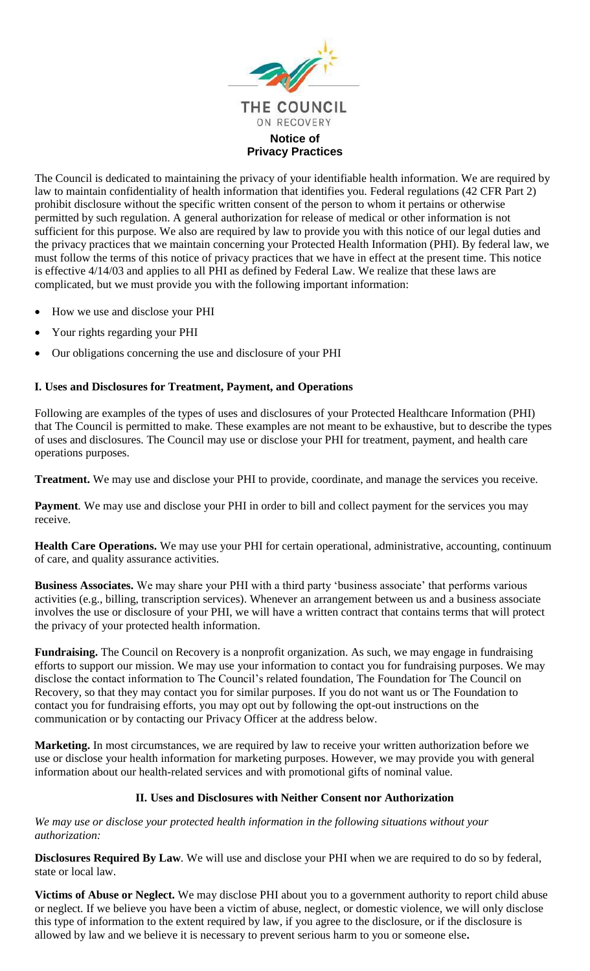

The Council is dedicated to maintaining the privacy of your identifiable health information. We are required by law to maintain confidentiality of health information that identifies you. Federal regulations (42 CFR Part 2) prohibit disclosure without the specific written consent of the person to whom it pertains or otherwise permitted by such regulation. A general authorization for release of medical or other information is not sufficient for this purpose. We also are required by law to provide you with this notice of our legal duties and the privacy practices that we maintain concerning your Protected Health Information (PHI). By federal law, we must follow the terms of this notice of privacy practices that we have in effect at the present time. This notice is effective 4/14/03 and applies to all PHI as defined by Federal Law. We realize that these laws are complicated, but we must provide you with the following important information:

- How we use and disclose your PHI
- Your rights regarding your PHI
- Our obligations concerning the use and disclosure of your PHI

## **I. Uses and Disclosures for Treatment, Payment, and Operations**

Following are examples of the types of uses and disclosures of your Protected Healthcare Information (PHI) that The Council is permitted to make. These examples are not meant to be exhaustive, but to describe the types of uses and disclosures. The Council may use or disclose your PHI for treatment, payment, and health care operations purposes.

**Treatment.** We may use and disclose your PHI to provide, coordinate, and manage the services you receive.

**Payment***.* We may use and disclose your PHI in order to bill and collect payment for the services you may receive.

**Health Care Operations.** We may use your PHI for certain operational, administrative, accounting, continuum of care, and quality assurance activities.

**Business Associates.** We may share your PHI with a third party 'business associate' that performs various activities (e.g., billing, transcription services). Whenever an arrangement between us and a business associate involves the use or disclosure of your PHI, we will have a written contract that contains terms that will protect the privacy of your protected health information.

**Fundraising.** The Council on Recovery is a nonprofit organization. As such, we may engage in fundraising efforts to support our mission. We may use your information to contact you for fundraising purposes. We may disclose the contact information to The Council's related foundation, The Foundation for The Council on Recovery, so that they may contact you for similar purposes. If you do not want us or The Foundation to contact you for fundraising efforts, you may opt out by following the opt-out instructions on the communication or by contacting our Privacy Officer at the address below.

**Marketing.** In most circumstances, we are required by law to receive your written authorization before we use or disclose your health information for marketing purposes. However, we may provide you with general information about our health-related services and with promotional gifts of nominal value.

## **II. Uses and Disclosures with Neither Consent nor Authorization**

*We may use or disclose your protected health information in the following situations without your authorization:*

**Disclosures Required By Law***.* We will use and disclose your PHI when we are required to do so by federal, state or local law.

**Victims of Abuse or Neglect.** We may disclose PHI about you to a government authority to report child abuse or neglect. If we believe you have been a victim of abuse, neglect, or domestic violence, we will only disclose this type of information to the extent required by law, if you agree to the disclosure, or if the disclosure is allowed by law and we believe it is necessary to prevent serious harm to you or someone else**.**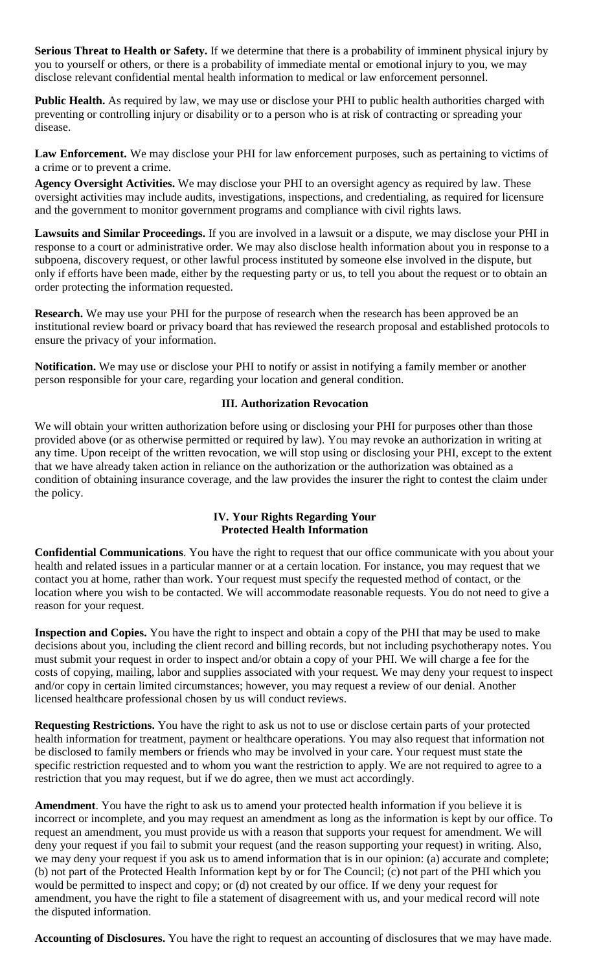**Serious Threat to Health or Safety.** If we determine that there is a probability of imminent physical injury by you to yourself or others, or there is a probability of immediate mental or emotional injury to you, we may disclose relevant confidential mental health information to medical or law enforcement personnel.

**Public Health.** As required by law, we may use or disclose your PHI to public health authorities charged with preventing or controlling injury or disability or to a person who is at risk of contracting or spreading your disease.

**Law Enforcement.** We may disclose your PHI for law enforcement purposes, such as pertaining to victims of a crime or to prevent a crime.

**Agency Oversight Activities.** We may disclose your PHI to an oversight agency as required by law. These oversight activities may include audits, investigations, inspections, and credentialing, as required for licensure and the government to monitor government programs and compliance with civil rights laws.

**Lawsuits and Similar Proceedings.** If you are involved in a lawsuit or a dispute, we may disclose your PHI in response to a court or administrative order. We may also disclose health information about you in response to a subpoena, discovery request, or other lawful process instituted by someone else involved in the dispute, but only if efforts have been made, either by the requesting party or us, to tell you about the request or to obtain an order protecting the information requested.

**Research.** We may use your PHI for the purpose of research when the research has been approved be an institutional review board or privacy board that has reviewed the research proposal and established protocols to ensure the privacy of your information.

**Notification.** We may use or disclose your PHI to notify or assist in notifying a family member or another person responsible for your care, regarding your location and general condition.

## **III. Authorization Revocation**

We will obtain your written authorization before using or disclosing your PHI for purposes other than those provided above (or as otherwise permitted or required by law). You may revoke an authorization in writing at any time. Upon receipt of the written revocation, we will stop using or disclosing your PHI, except to the extent that we have already taken action in reliance on the authorization or the authorization was obtained as a condition of obtaining insurance coverage, and the law provides the insurer the right to contest the claim under the policy.

## **IV. Your Rights Regarding Your Protected Health Information**

**Confidential Communications**. You have the right to request that our office communicate with you about your health and related issues in a particular manner or at a certain location. For instance, you may request that we contact you at home, rather than work. Your request must specify the requested method of contact, or the location where you wish to be contacted. We will accommodate reasonable requests. You do not need to give a reason for your request.

**Inspection and Copies.** You have the right to inspect and obtain a copy of the PHI that may be used to make decisions about you, including the client record and billing records, but not including psychotherapy notes. You must submit your request in order to inspect and/or obtain a copy of your PHI. We will charge a fee for the costs of copying, mailing, labor and supplies associated with your request. We may deny your request to inspect and/or copy in certain limited circumstances; however, you may request a review of our denial. Another licensed healthcare professional chosen by us will conduct reviews.

**Requesting Restrictions.** You have the right to ask us not to use or disclose certain parts of your protected health information for treatment, payment or healthcare operations. You may also request that information not be disclosed to family members or friends who may be involved in your care. Your request must state the specific restriction requested and to whom you want the restriction to apply. We are not required to agree to a restriction that you may request, but if we do agree, then we must act accordingly.

**Amendment**. You have the right to ask us to amend your protected health information if you believe it is incorrect or incomplete, and you may request an amendment as long as the information is kept by our office. To request an amendment, you must provide us with a reason that supports your request for amendment. We will deny your request if you fail to submit your request (and the reason supporting your request) in writing. Also, we may deny your request if you ask us to amend information that is in our opinion: (a) accurate and complete; (b) not part of the Protected Health Information kept by or for The Council; (c) not part of the PHI which you would be permitted to inspect and copy; or (d) not created by our office. If we deny your request for amendment, you have the right to file a statement of disagreement with us, and your medical record will note the disputed information.

**Accounting of Disclosures.** You have the right to request an accounting of disclosures that we may have made.